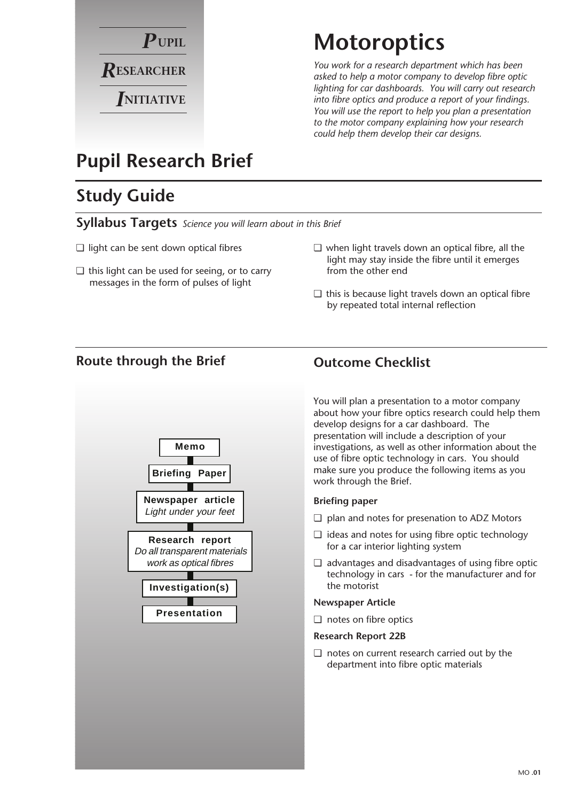

## **Motoroptics**

*You work for a research department which has been asked to help a motor company to develop fibre optic lighting for car dashboards. You will carry out research into fibre optics and produce a report of your findings. You will use the report to help you plan a presentation to the motor company explaining how your research could help them develop their car designs.*

## **Pupil Research Brief**

## **Study Guide**

**Syllabus Targets** *Science you will learn about in this Brief*

- ❏ light can be sent down optical fibres
- ❏ this light can be used for seeing, or to carry messages in the form of pulses of light
- ❏ when light travels down an optical fibre, all the light may stay inside the fibre until it emerges from the other end
- ❏ this is because light travels down an optical fibre by repeated total internal reflection

#### **Route through the Brief Outcome Checklist**



You will plan a presentation to a motor company about how your fibre optics research could help them develop designs for a car dashboard. The presentation will include a description of your investigations, as well as other information about the use of fibre optic technology in cars. You should make sure you produce the following items as you work through the Brief.

#### **Briefing paper**

- ❏ plan and notes for presenation to ADZ Motors
- ❏ ideas and notes for using fibre optic technology for a car interior lighting system
- ❏ advantages and disadvantages of using fibre optic technology in cars - for the manufacturer and for the motorist

#### **Newspaper Article**

❏ notes on fibre optics

#### **Research Report 22B**

❏ notes on current research carried out by the department into fibre optic materials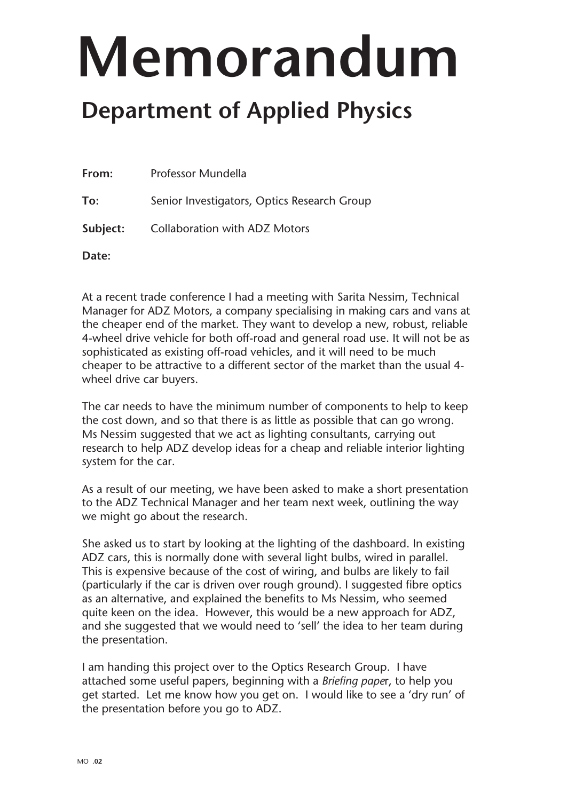# **Memorandum**

## **Department of Applied Physics**

| From:    | Professor Mundella                          |
|----------|---------------------------------------------|
| To:      | Senior Investigators, Optics Research Group |
| Subject: | <b>Collaboration with ADZ Motors</b>        |

**Date:**

At a recent trade conference I had a meeting with Sarita Nessim, Technical Manager for ADZ Motors, a company specialising in making cars and vans at the cheaper end of the market. They want to develop a new, robust, reliable 4-wheel drive vehicle for both off-road and general road use. It will not be as sophisticated as existing off-road vehicles, and it will need to be much cheaper to be attractive to a different sector of the market than the usual 4 wheel drive car buyers.

The car needs to have the minimum number of components to help to keep the cost down, and so that there is as little as possible that can go wrong. Ms Nessim suggested that we act as lighting consultants, carrying out research to help ADZ develop ideas for a cheap and reliable interior lighting system for the car.

As a result of our meeting, we have been asked to make a short presentation to the ADZ Technical Manager and her team next week, outlining the way we might go about the research.

She asked us to start by looking at the lighting of the dashboard. In existing ADZ cars, this is normally done with several light bulbs, wired in parallel. This is expensive because of the cost of wiring, and bulbs are likely to fail (particularly if the car is driven over rough ground). I suggested fibre optics as an alternative, and explained the benefits to Ms Nessim, who seemed quite keen on the idea. However, this would be a new approach for ADZ, and she suggested that we would need to 'sell' the idea to her team during the presentation.

I am handing this project over to the Optics Research Group. I have attached some useful papers, beginning with a *Briefing pape*r, to help you get started. Let me know how you get on. I would like to see a 'dry run' of the presentation before you go to ADZ.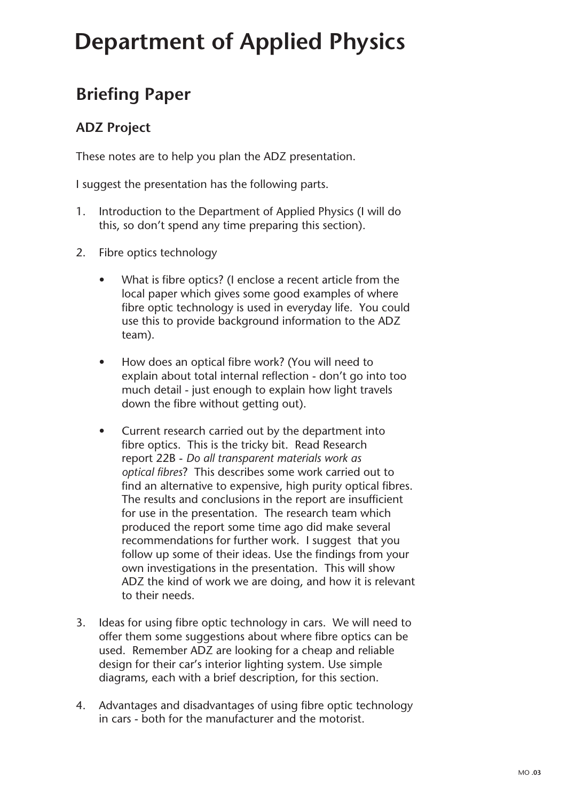# **Department of Applied Physics**

### **Briefing Paper**

#### **ADZ Project**

These notes are to help you plan the ADZ presentation.

I suggest the presentation has the following parts.

- 1. Introduction to the Department of Applied Physics (I will do this, so don't spend any time preparing this section).
- 2. Fibre optics technology
	- What is fibre optics? (I enclose a recent article from the local paper which gives some good examples of where fibre optic technology is used in everyday life. You could use this to provide background information to the ADZ team).
	- How does an optical fibre work? (You will need to explain about total internal reflection - don't go into too much detail - just enough to explain how light travels down the fibre without getting out).
	- Current research carried out by the department into fibre optics. This is the tricky bit. Read Research report 22B - *Do all transparent materials work as optical fibres*? This describes some work carried out to find an alternative to expensive, high purity optical fibres. The results and conclusions in the report are insufficient for use in the presentation. The research team which produced the report some time ago did make several recommendations for further work. I suggest that you follow up some of their ideas. Use the findings from your own investigations in the presentation. This will show ADZ the kind of work we are doing, and how it is relevant to their needs.
- 3. Ideas for using fibre optic technology in cars. We will need to offer them some suggestions about where fibre optics can be used. Remember ADZ are looking for a cheap and reliable design for their car's interior lighting system. Use simple diagrams, each with a brief description, for this section.
- 4. Advantages and disadvantages of using fibre optic technology in cars - both for the manufacturer and the motorist.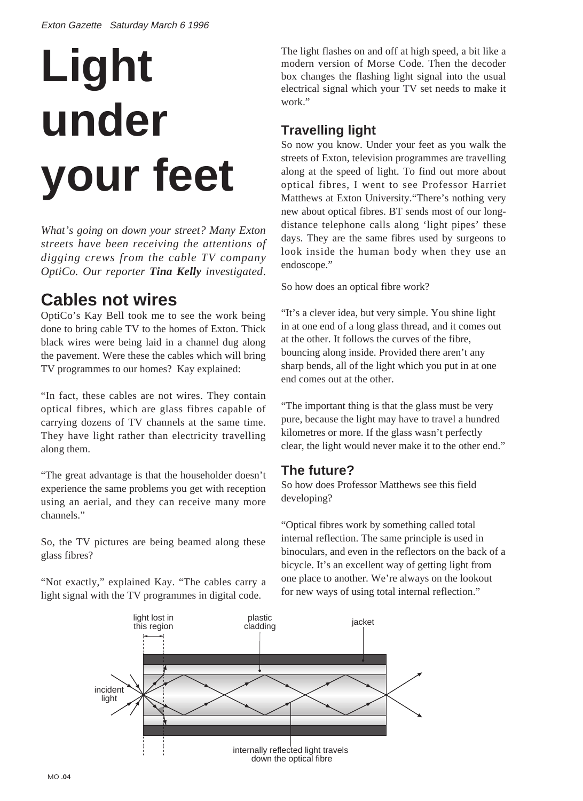# **Light under your feet**

*What's going on down your street? Many Exton streets have been receiving the attentions of digging crews from the cable TV company OptiCo. Our reporter Tina Kelly investigated*.

### **Cables not wires**

OptiCo's Kay Bell took me to see the work being done to bring cable TV to the homes of Exton. Thick black wires were being laid in a channel dug along the pavement. Were these the cables which will bring TV programmes to our homes? Kay explained:

"In fact, these cables are not wires. They contain optical fibres, which are glass fibres capable of carrying dozens of TV channels at the same time. They have light rather than electricity travelling along them.

"The great advantage is that the householder doesn't experience the same problems you get with reception using an aerial, and they can receive many more channels."

So, the TV pictures are being beamed along these glass fibres?

"Not exactly," explained Kay. "The cables carry a light signal with the TV programmes in digital code.

The light flashes on and off at high speed, a bit like a modern version of Morse Code. Then the decoder box changes the flashing light signal into the usual electrical signal which your TV set needs to make it work"

#### **Travelling light**

So now you know. Under your feet as you walk the streets of Exton, television programmes are travelling along at the speed of light. To find out more about optical fibres, I went to see Professor Harriet Matthews at Exton University."There's nothing very new about optical fibres. BT sends most of our longdistance telephone calls along 'light pipes' these days. They are the same fibres used by surgeons to look inside the human body when they use an endoscope."

So how does an optical fibre work?

"It's a clever idea, but very simple. You shine light in at one end of a long glass thread, and it comes out at the other. It follows the curves of the fibre, bouncing along inside. Provided there aren't any sharp bends, all of the light which you put in at one end comes out at the other.

"The important thing is that the glass must be very pure, because the light may have to travel a hundred kilometres or more. If the glass wasn't perfectly clear, the light would never make it to the other end."

#### **The future?**

So how does Professor Matthews see this field developing?

"Optical fibres work by something called total internal reflection. The same principle is used in binoculars, and even in the reflectors on the back of a bicycle. It's an excellent way of getting light from one place to another. We're always on the lookout for new ways of using total internal reflection."

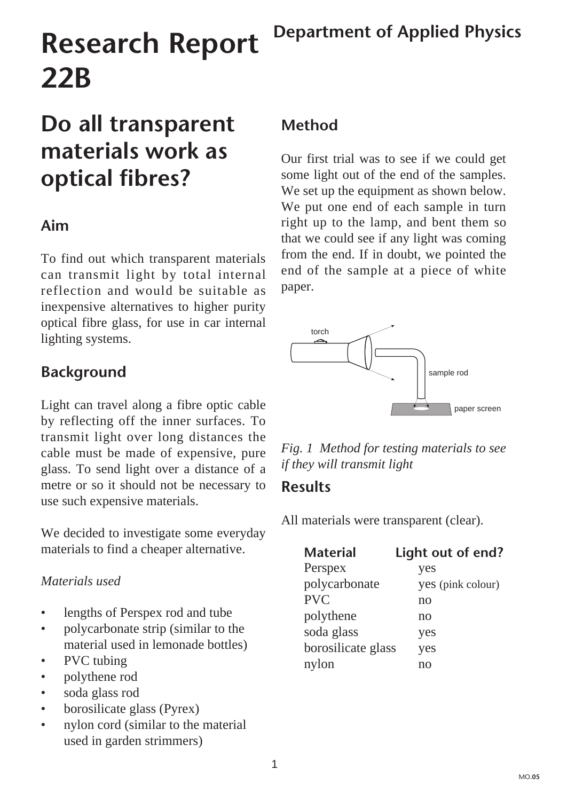# **Research Report 22B**

# **Do all transparent materials work as optical fibres?**

#### **Aim**

To find out which transparent materials can transmit light by total internal reflection and would be suitable as inexpensive alternatives to higher purity optical fibre glass, for use in car internal lighting systems.

#### **Background**

Light can travel along a fibre optic cable by reflecting off the inner surfaces. To transmit light over long distances the cable must be made of expensive, pure glass. To send light over a distance of a metre or so it should not be necessary to use such expensive materials.

We decided to investigate some everyday materials to find a cheaper alternative.

#### *Materials used*

- lengths of Perspex rod and tube
- polycarbonate strip (similar to the material used in lemonade bottles)
- PVC tubing
- polythene rod
- soda glass rod
- borosilicate glass (Pyrex)
- nylon cord (similar to the material used in garden strimmers)

#### **Method**

Our first trial was to see if we could get some light out of the end of the samples. We set up the equipment as shown below. We put one end of each sample in turn right up to the lamp, and bent them so that we could see if any light was coming from the end. If in doubt, we pointed the end of the sample at a piece of white paper.



*Fig. 1 Method for testing materials to see if they will transmit light*

#### **Results**

All materials were transparent (clear).

| <b>Material</b>    | Light out of end? |
|--------------------|-------------------|
| Perspex            | yes               |
| polycarbonate      | yes (pink colour) |
| <b>PVC</b>         | no                |
| polythene          | no                |
| soda glass         | yes               |
| borosilicate glass | yes               |
| nylon              | no                |